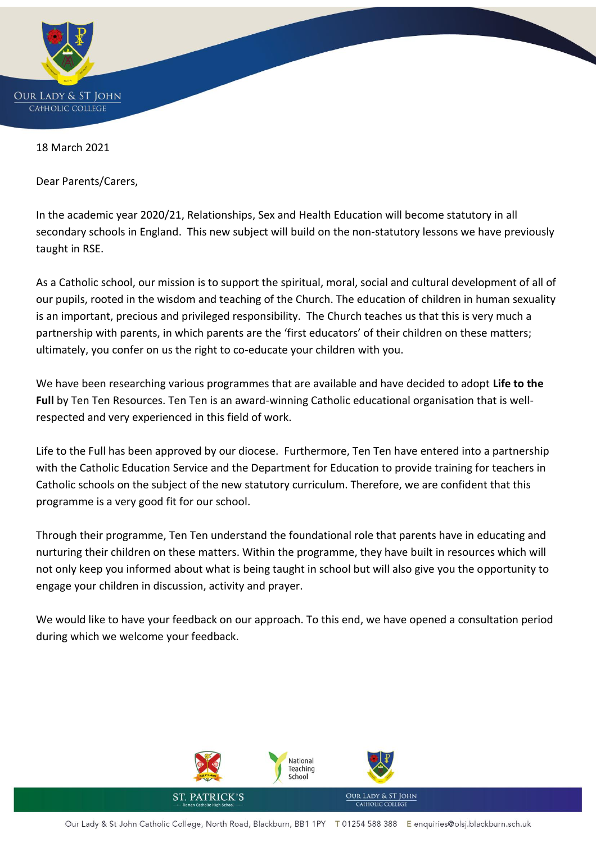

18 March 2021

Dear Parents/Carers,

In the academic year 2020/21, Relationships, Sex and Health Education will become statutory in all secondary schools in England. This new subject will build on the non-statutory lessons we have previously taught in RSE.

As a Catholic school, our mission is to support the spiritual, moral, social and cultural development of all of our pupils, rooted in the wisdom and teaching of the Church. The education of children in human sexuality is an important, precious and privileged responsibility. The Church teaches us that this is very much a partnership with parents, in which parents are the 'first educators' of their children on these matters; ultimately, you confer on us the right to co-educate your children with you.

We have been researching various programmes that are available and have decided to adopt **Life to the Full** by Ten Ten Resources. Ten Ten is an award-winning Catholic educational organisation that is wellrespected and very experienced in this field of work.

Life to the Full has been approved by our diocese. Furthermore, Ten Ten have entered into a partnership with the Catholic Education Service and the Department for Education to provide training for teachers in Catholic schools on the subject of the new statutory curriculum. Therefore, we are confident that this programme is a very good fit for our school.

Through their programme, Ten Ten understand the foundational role that parents have in educating and nurturing their children on these matters. Within the programme, they have built in resources which will not only keep you informed about what is being taught in school but will also give you the opportunity to engage your children in discussion, activity and prayer.

We would like to have your feedback on our approach. To this end, we have opened a consultation period during which we welcome your feedback.